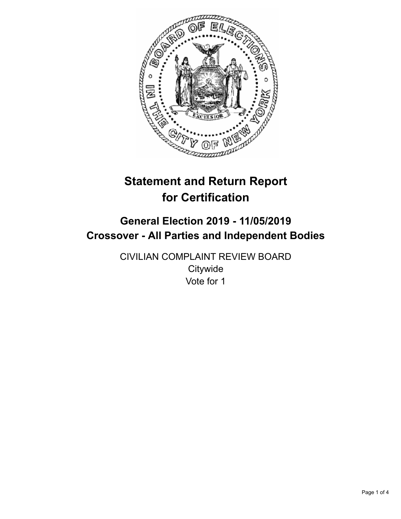

# **Statement and Return Report for Certification**

## **General Election 2019 - 11/05/2019 Crossover - All Parties and Independent Bodies**

CIVILIAN COMPLAINT REVIEW BOARD **Citywide** Vote for 1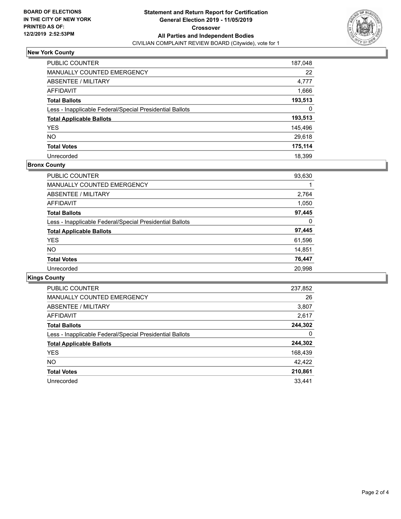

### **New York County**

| <b>PUBLIC COUNTER</b>                                    | 187,048 |
|----------------------------------------------------------|---------|
| <b>MANUALLY COUNTED EMERGENCY</b>                        | 22      |
| ABSENTEE / MILITARY                                      | 4,777   |
| AFFIDAVIT                                                | 1,666   |
| <b>Total Ballots</b>                                     | 193,513 |
| Less - Inapplicable Federal/Special Presidential Ballots | 0       |
| <b>Total Applicable Ballots</b>                          | 193,513 |
| <b>YES</b>                                               | 145,496 |
| <b>NO</b>                                                | 29,618  |
| <b>Total Votes</b>                                       | 175,114 |
| Unrecorded                                               | 18.399  |

#### **Bronx County**

| <b>PUBLIC COUNTER</b>                                    | 93,630 |
|----------------------------------------------------------|--------|
| <b>MANUALLY COUNTED EMERGENCY</b>                        |        |
| ABSENTEE / MILITARY                                      | 2,764  |
| <b>AFFIDAVIT</b>                                         | 1,050  |
| <b>Total Ballots</b>                                     | 97,445 |
| Less - Inapplicable Federal/Special Presidential Ballots | 0      |
| <b>Total Applicable Ballots</b>                          | 97,445 |
| <b>YES</b>                                               | 61,596 |
| NO.                                                      | 14,851 |
| <b>Total Votes</b>                                       | 76,447 |
| Unrecorded                                               | 20.998 |

## **Kings County**

| <b>PUBLIC COUNTER</b>                                    | 237,852 |
|----------------------------------------------------------|---------|
| <b>MANUALLY COUNTED EMERGENCY</b>                        | 26      |
| ABSENTEE / MILITARY                                      | 3,807   |
| AFFIDAVIT                                                | 2,617   |
| <b>Total Ballots</b>                                     | 244,302 |
| Less - Inapplicable Federal/Special Presidential Ballots | 0       |
| <b>Total Applicable Ballots</b>                          | 244,302 |
| <b>YES</b>                                               | 168,439 |
| NO.                                                      | 42,422  |
| <b>Total Votes</b>                                       | 210,861 |
| Unrecorded                                               | 33.441  |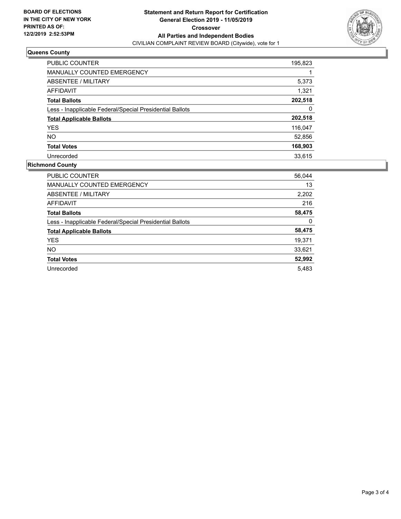

## **Queens County**

| PUBLIC COUNTER                                           | 195,823 |
|----------------------------------------------------------|---------|
| <b>MANUALLY COUNTED EMERGENCY</b>                        |         |
| ABSENTEE / MILITARY                                      | 5,373   |
| AFFIDAVIT                                                | 1,321   |
| <b>Total Ballots</b>                                     | 202,518 |
| Less - Inapplicable Federal/Special Presidential Ballots | 0       |
| <b>Total Applicable Ballots</b>                          | 202,518 |
| <b>YES</b>                                               | 116,047 |
| <b>NO</b>                                                | 52,856  |
| <b>Total Votes</b>                                       | 168,903 |
| Unrecorded                                               | 33.615  |

#### **Richmond County**

| <b>PUBLIC COUNTER</b>                                    | 56,044 |
|----------------------------------------------------------|--------|
| <b>MANUALLY COUNTED EMERGENCY</b>                        | 13     |
| ABSENTEE / MILITARY                                      | 2,202  |
| AFFIDAVIT                                                | 216    |
| <b>Total Ballots</b>                                     | 58,475 |
| Less - Inapplicable Federal/Special Presidential Ballots | 0      |
| <b>Total Applicable Ballots</b>                          | 58,475 |
| <b>YES</b>                                               | 19,371 |
| NO.                                                      | 33,621 |
| <b>Total Votes</b>                                       | 52,992 |
| Unrecorded                                               | 5.483  |